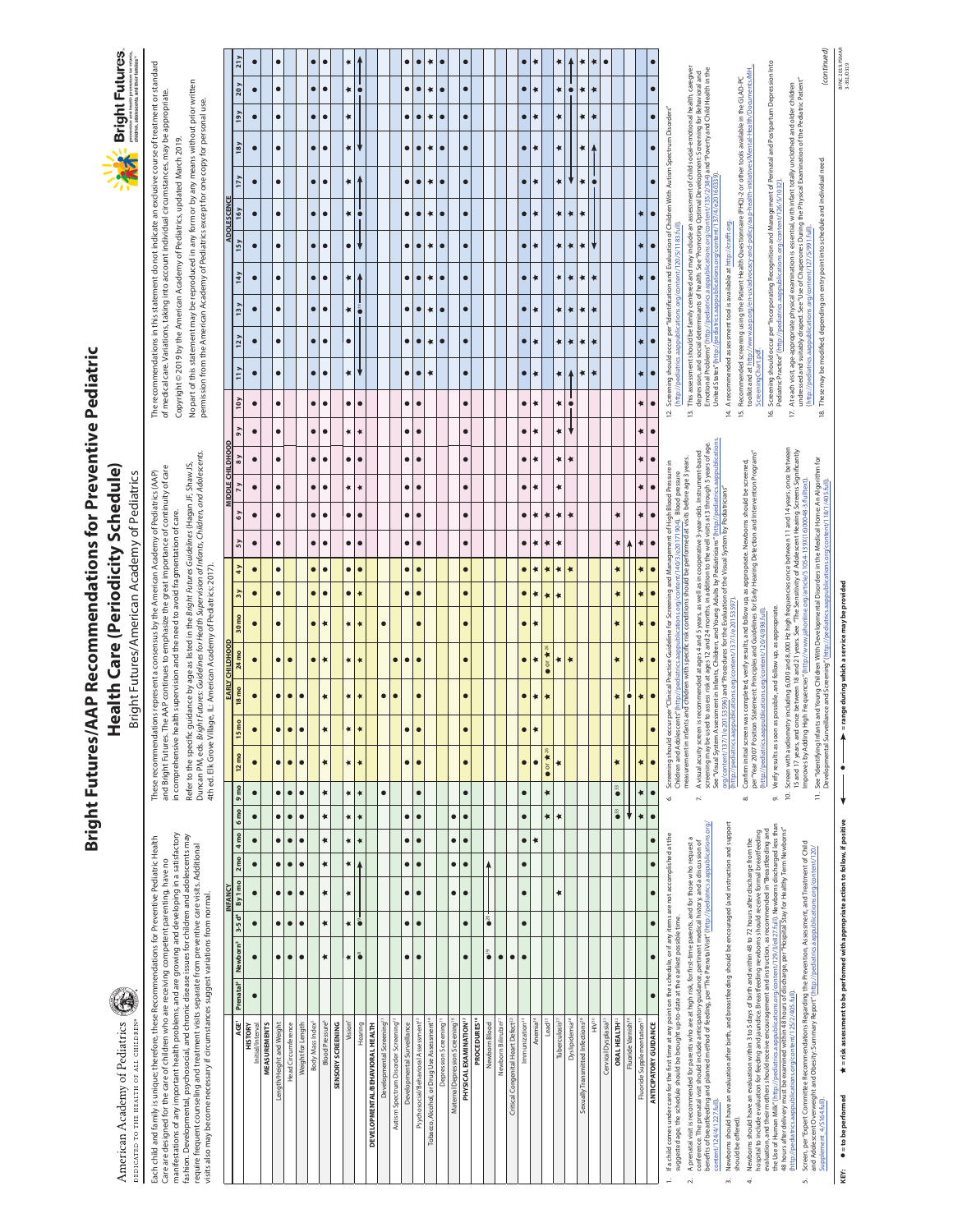# **Bright Futures/AAP Recommendations for Preventive Pediatric** Bright Futures/AAP Recommendations for Preventive Pediatric Health Care (Periodicity Schedule) Health Care (Periodicity Schedule)

Bright Futures/American Academy of Pediatrics Bright Futures/American Academy of Pediatrics

 $\frac{1}{N}$  Bright Futures. prevention and health promotion for<br>children, adolescents, and their fami

> manifestations of any important health problems, and are growing and developing in a satisfactory manifestations of any important health problems, and are growing and developing in a satisfactory fashion. Developmental, psychosocial, and chronic disease issues for children and adolescents may fashion. Developmental, psychosocial, and chronic disease issues for children and adolescents may Each child and family is unique; therefore, these Recommendations for Preventive Pediatric Health Each child and family is unique; therefore, these Recommendations for Preventive Pediatric Health require frequent counseling and treatment visits separate from preventive care visits. Additional<br>visits also may become necessary if circumstances suggest variations from normal. require frequent counseling and treatment visits separate from preventive care visits. Additional Care are designed for the care of children who are receiving competent parenting, have no Care are designed for the care of children who are receiving competent parenting, have no visits also may become necessary if circumstances suggest variations from normal.

American Academy of Pediatrics **OEDICATED TO THE HEALTH OF ALL CHILDREN** 

and Bright Futures. The AAP continues to emphasize the great importance of continuity of care<br>in comprehensive health supervision and the need to avoid fragmentation of care. and Bright Futures. The AAP continues to emphasize the great importance of continuity of care These recommendations represent a consensus by the American Academy of Pediatrics (AAP) These recommendations represent a consensus by the American Academy of Pediatrics (AAP)

Duncan PM, eds. Bright Futures: Guidelines for Health Supervision of Infants, Children, and Adolescents. Refer to the specific guidance by age as listed in the *Bright Futures Guidelines (*Hagan JF, Shaw JS,<br>Duncan PM, ed*s. Bright Futures: Guidelines for Health Supervision of Infants, Children, and Adolescents.* Refer to the specific guidance by age as listed in the Bright Futures Guidelines (Hagan JF, Shaw JS, in comprehensive health supervision and the need to avoid fragmentation of care. 4th ed. Elk Grove Village, IL: American Academy of Pediatrics; 2017). 4th ed. Elk Grove Village, IL: American Academy of Pediatrics; 2017).

The recommendations in this statement do not indicate an exclusive course of treatment or standard The recommendations in this statement do not indicate an exclusive course of treatment or standard No part of this statement may be reproduced in any form or by any means without prior written No part of this statement may be reproduced in any form or by any means without prior written of medical care. Variations, taking into account individual circumstances, may be appropriate. of medical care. Variations, taking into account individual circumstances, may be appropriate. permission from the American Academy of Pediatrics except for one copy for personal use. permission from the American Academy of Pediatrics except for one copy for personal use. Copyright © 2019 by the American Academy of Pediatrics, updated March 2019. Copyright © 2019 by the American Academy of Pediatrics, updated March 2019.

|                                                                                                                          |                       |                                                 |                         | <b>NFANCY</b> |           |                               |                  |             |                                       |                  | <b>EARLY CHILDHOOD</b>                                                                                              |                               |                 |                        |           |           | <b>MIDDLE CHILDHOOD</b> |           |               |                      |           |                                                                  |               |                        | <b>ADOLESCENC</b>                                                                                         |           |           |                        |                        |  |
|--------------------------------------------------------------------------------------------------------------------------|-----------------------|-------------------------------------------------|-------------------------|---------------|-----------|-------------------------------|------------------|-------------|---------------------------------------|------------------|---------------------------------------------------------------------------------------------------------------------|-------------------------------|-----------------|------------------------|-----------|-----------|-------------------------|-----------|---------------|----------------------|-----------|------------------------------------------------------------------|---------------|------------------------|-----------------------------------------------------------------------------------------------------------|-----------|-----------|------------------------|------------------------|--|
| AGE                                                                                                                      | Prenatal <sup>2</sup> | Newborn <sup>3</sup> 3-5 d <sup>4</sup> By 1 mo |                         |               |           | $2 \text{ mo}$ 4 mo 6 mo 9 mo |                  |             | $12 \text{ mo}$                       | 15 <sub>mo</sub> | 18 <sub>mo</sub>                                                                                                    | 24 mo                         | $30 \text{ mo}$ | 4y<br>$\overline{3}y$  | 5y        | 6y        | $\overline{y}$          | 8y        | $\frac{8}{2}$ | 10 y                 | 11y       | 12y                                                              | 13y           | 15y<br>14y             | 16y                                                                                                       | 17y       | 18y       | 19 y                   | 21y<br>20y             |  |
| Initial/Interval<br><b>HISTORY</b>                                                                                       |                       | $\bullet$                                       | $\bullet$               |               | $\bullet$ | $\bullet$                     | $\bullet$        | $\bullet$   | $\bullet$                             | $\bullet$        | $\bullet$                                                                                                           | $\bullet$                     | $\bullet$       | $\bullet$<br>$\bullet$ | $\bullet$ | $\bullet$ | $\bullet$               | $\bullet$ | $\bullet$     | $\bullet$            | $\bullet$ | $\bullet$                                                        | $\bullet$     | $\bullet$<br>$\bullet$ | $\bullet$                                                                                                 | $\bullet$ | $\bullet$ | $\bullet$              | $\bullet$<br>$\bullet$ |  |
| <b>MEASUREMENTS</b>                                                                                                      |                       |                                                 |                         |               |           |                               |                  |             |                                       |                  |                                                                                                                     |                               |                 |                        |           |           |                         |           |               |                      |           |                                                                  |               |                        |                                                                                                           |           |           |                        |                        |  |
| Length/Height and Weight                                                                                                 |                       | $\bullet$                                       | $\bullet$               |               | $\bullet$ | $\bullet$                     |                  | $\bullet$   | $\bullet$                             | $\bullet$        | $\bullet$                                                                                                           | $\bullet$                     | $\bullet$       | $\bullet$<br>$\bullet$ | $\bullet$ | $\bullet$ | $\bullet$               | $\bullet$ | $\bullet$     | $\bullet$            | $\bullet$ | $\bullet$                                                        | $\bullet$     | $\bullet$<br>$\bullet$ | $\bullet$                                                                                                 | $\bullet$ | $\bullet$ | $\bullet$              | $\bullet$              |  |
| Head Circumference                                                                                                       |                       | $\bullet$                                       | $\bullet$               | $\bullet$     | $\bullet$ | $\bullet$                     | $\bullet$        | $\bullet$   | $\bullet$                             | $\bullet$        | $\bullet$                                                                                                           | $\bullet$                     |                 |                        |           |           |                         |           |               |                      |           |                                                                  |               |                        |                                                                                                           |           |           |                        |                        |  |
| Weight for Length                                                                                                        |                       | $\bullet$                                       | $\bullet$               | $\bullet$     | $\bullet$ | $\bullet$                     | $\bullet$        | $\bullet$   | $\bullet$                             | $\bullet$        | $\bullet$                                                                                                           |                               |                 |                        |           |           |                         |           |               |                      |           |                                                                  |               |                        |                                                                                                           |           |           |                        |                        |  |
| Body Mass Index <sup>5</sup>                                                                                             |                       |                                                 |                         |               |           |                               |                  |             |                                       |                  |                                                                                                                     | $\bullet$                     | $\bullet$       | $\bullet$<br>$\bullet$ | $\bullet$ | $\bullet$ | $\bullet$               | $\bullet$ | $\bullet$     | $\bullet$            | $\bullet$ | $\bullet$                                                        | $\bullet$     | $\bullet$<br>$\bullet$ | $\bullet$                                                                                                 | $\bullet$ | $\bullet$ | $\bullet$              | $\bullet$<br>$\bullet$ |  |
| Blood Pressure <sup>6</sup>                                                                                              |                       | ∗                                               | ∗                       | ∗             | ×         | ∗                             | ۰                | ∗           | ×                                     | ×                | ×                                                                                                                   | ×                             | ×               | $\bullet$<br>$\bullet$ | $\bullet$ | $\bullet$ | $\bullet$               | $\bullet$ | $\bullet$     | $\bullet$            | $\bullet$ | $\bullet$                                                        | $\bullet$     | $\bullet$<br>$\bullet$ | $\bullet$                                                                                                 | $\bullet$ | $\bullet$ | $\bullet$              | $\bullet$<br>$\bullet$ |  |
| SENSORY SCREENING                                                                                                        |                       |                                                 |                         |               |           |                               |                  |             |                                       |                  |                                                                                                                     |                               |                 |                        |           |           |                         |           |               |                      |           |                                                                  |               |                        |                                                                                                           |           |           |                        |                        |  |
| Vision <sup>7</sup>                                                                                                      |                       | ×                                               | ×                       | ×             | ×         | ×                             | ×                | ×           | ×                                     | ×                | ×                                                                                                                   | ×                             | ×               | $\bullet$<br>$\bullet$ | ٠         | ٠         | ×                       | ٠         | ×             | ٠                    | ×         | $\bullet$                                                        | ۰             | $\bullet$<br>×         | ۰                                                                                                         | ×         | ×         | ×<br>۰                 | ×                      |  |
| Hearing                                                                                                                  |                       | $\bullet$                                       | $\frac{1}{2}$           |               |           | ×                             | ×                | ×           | ×                                     | ×                | ×                                                                                                                   | ×                             | ×               | $\bullet$<br>×         | $\bullet$ | $\bullet$ | ×                       | $\bullet$ | ×             | $\bullet$            | ⇃         |                                                                  | $\frac{1}{2}$ |                        | ⇃                                                                                                         |           | J         |                        |                        |  |
| DEVELOPMENTAL/BEHAVIORAL HEALTH                                                                                          |                       |                                                 |                         |               |           |                               |                  |             |                                       |                  |                                                                                                                     |                               |                 |                        |           |           |                         |           |               |                      |           |                                                                  |               |                        |                                                                                                           |           |           |                        |                        |  |
| Developmental Screening <sup>11</sup>                                                                                    |                       |                                                 |                         |               |           |                               |                  | $\bullet$   |                                       |                  | $\bullet$                                                                                                           |                               | $\bullet$       |                        |           |           |                         |           |               |                      |           |                                                                  |               |                        |                                                                                                           |           |           |                        |                        |  |
| Autism Spectrum Disorder Screening <sup>12</sup>                                                                         |                       |                                                 |                         |               |           |                               |                  |             |                                       |                  | $\bullet$                                                                                                           | $\bullet$                     |                 |                        |           |           |                         |           |               |                      |           |                                                                  |               |                        |                                                                                                           |           |           |                        |                        |  |
| Developmental Surveillance                                                                                               |                       | $\bullet$                                       | $\bullet$               | ٠             | $\bullet$ | $\bullet$                     | ٠                |             | $\bullet$                             | $\bullet$        |                                                                                                                     | $\bullet$                     |                 | $\bullet$<br>$\bullet$ | ٠         | $\bullet$ | ٠                       | $\bullet$ | ٠             | $\bullet$            | $\bullet$ | $\bullet$                                                        | $\bullet$     | $\bullet$<br>$\bullet$ | $\bullet$                                                                                                 | $\bullet$ | $\bullet$ | $\bullet$              | $\bullet$              |  |
| Psychosocial/Behavioral Assessment <sup>13</sup>                                                                         |                       | $\bullet$                                       | $\bullet$               | $\bullet$     | $\bullet$ | $\bullet$                     | $\bullet$        | $\bullet$   | $\bullet$                             | $\bullet$        | $\bullet$                                                                                                           | $\bullet$                     | $\bullet$       | $\bullet$<br>$\bullet$ | $\bullet$ | ٠         | ٠                       | ٠         | О             | $\bullet$            | $\bullet$ | C                                                                | $\bullet$     | C<br>C                 | $\bullet$                                                                                                 | C         | $\bullet$ | C                      | $\bullet$<br>C         |  |
| Tobacco, Alcohol, or Drug Use Assessment <sup>14</sup>                                                                   |                       |                                                 |                         |               |           |                               |                  |             |                                       |                  |                                                                                                                     |                               |                 |                        |           |           |                         |           |               |                      | ∗         | ∗                                                                | ∗             | ∗<br>۰                 | ×                                                                                                         | ∗         | ۰         | ∗<br>۰                 | ×                      |  |
| Depression Screening <sup>15</sup>                                                                                       |                       |                                                 |                         |               |           |                               |                  |             |                                       |                  |                                                                                                                     |                               |                 |                        |           |           |                         |           |               |                      |           | $\bullet$                                                        | $\bullet$     | $\bullet$              | $\bullet$                                                                                                 | $\bullet$ | $\bullet$ | $\bullet$              | $\bullet$<br>$\bullet$ |  |
| Maternal Depression Screening <sup>16</sup>                                                                              |                       |                                                 |                         | $\bullet$     | $\bullet$ | $\bullet$                     | $\bullet$        |             |                                       |                  |                                                                                                                     |                               |                 |                        |           |           |                         |           |               |                      |           |                                                                  |               |                        |                                                                                                           |           |           |                        |                        |  |
| PHYSICAL EXAMINATION <sup>17</sup>                                                                                       |                       | $\bullet$                                       | $\bullet$               | $\bullet$     | $\bullet$ | $\bullet$                     | $\bullet$        | $\bullet$   | $\bullet$                             | $\bullet$        | $\bullet$                                                                                                           | $\bullet$                     | $\bullet$       | $\bullet$<br>$\bullet$ | $\bullet$ | $\bullet$ | $\bullet$               | $\bullet$ | $\bullet$     | $\bullet$            | $\bullet$ | $\bullet$                                                        | $\bullet$     | $\bullet$<br>$\bullet$ | $\bullet$                                                                                                 | $\bullet$ | $\bullet$ | $\bullet$<br>$\bullet$ | $\bullet$              |  |
| PROCEDURES <sup>18</sup>                                                                                                 |                       |                                                 |                         |               |           |                               |                  |             |                                       |                  |                                                                                                                     |                               |                 |                        |           |           |                         |           |               |                      |           |                                                                  |               |                        |                                                                                                           |           |           |                        |                        |  |
| Newborn Blood                                                                                                            |                       | $\ddot{\bullet}$                                | $\bullet$ <sup>20</sup> |               | ↟         |                               |                  |             |                                       |                  |                                                                                                                     |                               |                 |                        |           |           |                         |           |               |                      |           |                                                                  |               |                        |                                                                                                           |           |           |                        |                        |  |
| Newborn Bilirubin <sup>21</sup>                                                                                          |                       | $\bullet$                                       |                         |               |           |                               |                  |             |                                       |                  |                                                                                                                     |                               |                 |                        |           |           |                         |           |               |                      |           |                                                                  |               |                        |                                                                                                           |           |           |                        |                        |  |
| Critical Congenital Heart Defect <sup>22</sup>                                                                           |                       | $\bullet$                                       |                         |               |           |                               |                  |             |                                       |                  |                                                                                                                     |                               |                 |                        |           |           |                         |           |               |                      |           |                                                                  |               |                        |                                                                                                           |           |           |                        |                        |  |
| Immunization <sup>23</sup>                                                                                               |                       | $\bullet$                                       | $\bullet$               | $\bullet$     | $\bullet$ | $\bullet$                     | $\bullet$        | $\bullet$   |                                       | $\bullet$        | $\bullet$                                                                                                           | $\bullet$                     | $\bullet$       | $\bullet$<br>$\bullet$ |           |           | ٠                       |           | ٠             | $\bullet$            | $\bullet$ | $\bullet$                                                        |               | $\bullet$<br>$\bullet$ |                                                                                                           | С         | О         | $\bullet$              | $\bullet$              |  |
| Anemia <sup>24</sup>                                                                                                     |                       |                                                 |                         |               |           | ۰                             |                  |             |                                       | ×                | ×                                                                                                                   | ×                             | ×               | ₩<br>×                 | ∗         | ∗         | ∗                       | ∗         | ∗             | ∗                    | ∗         | ∗                                                                | ∗             | ∗<br>∗                 | ×                                                                                                         | ×         | ∗         | ∗<br>∗                 | ×                      |  |
| Lead <sup>25</sup>                                                                                                       |                       |                                                 |                         |               |           |                               | ×                | ×           | $\bullet$ or $\star$ $\infty$         |                  | ×                                                                                                                   | $\bullet$ or $\star$ $\infty$ |                 | ×<br>×                 | ∗         | 乍         |                         |           |               |                      |           |                                                                  |               |                        |                                                                                                           |           |           |                        |                        |  |
| Tuberculosis <sup>27</sup>                                                                                               |                       |                                                 |                         | ×             |           |                               | ۰                |             | ×                                     |                  |                                                                                                                     | ×                             | ×               | ×                      | ∗         | ۰         | ∗                       | ∗         | ∗             | ∗                    | ∗         | ∗                                                                | ∗             | ∗<br>×                 | ∗                                                                                                         | ∗         | Ł         | ∗<br>∗                 | ×                      |  |
| Dyslipidemia <sup>28</sup>                                                                                               |                       |                                                 |                         |               |           |                               |                  |             |                                       |                  |                                                                                                                     | ×                             |                 | ×                      |           | ×         |                         | ×         | ♦             | $\ddot{\phantom{a}}$ | Ą         | ×                                                                | ×             | 乍<br>۰                 | ×                                                                                                         | ۷         |           | $\bullet$              | ↟                      |  |
| Sexually Transmitted Infections <sup>29</sup>                                                                            |                       |                                                 |                         |               |           |                               |                  |             |                                       |                  |                                                                                                                     |                               |                 |                        |           |           |                         |           |               |                      | 乍         | 乍                                                                | 乍             | ۰<br>۰                 | ٠                                                                                                         | Ł         | ×         | ₩<br>∗                 | ×                      |  |
| FMH                                                                                                                      |                       |                                                 |                         |               |           |                               |                  |             |                                       |                  |                                                                                                                     |                               |                 |                        |           |           |                         |           |               |                      | ₩         | ₩                                                                | ×             | ×                      | ↓                                                                                                         | I<br>ō    |           | ∗<br>∗                 | ×                      |  |
| Cervical Dysplasia <sup>31</sup>                                                                                         |                       |                                                 |                         |               |           |                               |                  |             |                                       |                  |                                                                                                                     |                               |                 |                        |           |           |                         |           |               |                      |           |                                                                  |               |                        |                                                                                                           |           |           |                        | $\bullet$              |  |
| ORAL HEALTH <sup>22</sup>                                                                                                |                       |                                                 |                         |               |           |                               | $\ddot{\bullet}$ | $\bullet^3$ | ×                                     |                  | ×                                                                                                                   | ×                             | ×               | ×<br>×                 | ×         | ۰         |                         |           |               |                      |           |                                                                  |               |                        |                                                                                                           |           |           |                        |                        |  |
| Fluoride Varnish <sup>34</sup>                                                                                           |                       |                                                 |                         |               |           |                               | ۷                |             |                                       |                  | $\bullet$                                                                                                           |                               |                 |                        |           |           |                         |           |               |                      |           |                                                                  |               |                        |                                                                                                           |           |           |                        |                        |  |
| Fluoride Supplementation <sup>35</sup>                                                                                   |                       |                                                 |                         |               |           |                               | ł                | ×           | ×                                     |                  | ×                                                                                                                   | ×                             | ×               | ×<br>×                 | ×         | ∗         | ×                       | ×         | ×             | ∗                    | ×         | ×                                                                | Ł             | ×<br>×                 | ×                                                                                                         |           |           |                        |                        |  |
| ANTICIPATORY GUIDANCE                                                                                                    | $\bullet$             | $\bullet$                                       | $\bullet$               | $\bullet$     | $\bullet$ | $\bullet$                     | $\bullet$        | $\bullet$   | $\bullet$                             | $\bullet$        | $\bullet$                                                                                                           | $\bullet$                     | $\bullet$       | $\bullet$<br>$\bullet$ | $\bullet$ | $\bullet$ | $\bullet$               | $\bullet$ | $\bullet$     | $\bullet$            | $\bullet$ | $\bullet$                                                        | $\bullet$     | $\bullet$<br>$\bullet$ | $\bullet$                                                                                                 | $\bullet$ | $\bullet$ | $\bullet$              | $\bullet$<br>$\bullet$ |  |
| If a child comes under care for the first time at any point on the schedule, or if any items are not accomplished at the |                       |                                                 |                         |               |           |                               |                  | ó           | Screening should<br>Children and Adol |                  | occur per"Clinical Practice Guideline for Screening and Management of High Blood Pressure in                        |                               |                 |                        |           |           |                         |           |               |                      |           |                                                                  |               |                        | 12. Screening should occur per "identification and Evaluation of Children With Autism Spectrum Disorders' |           |           |                        |                        |  |
| suggested age, the schedule should be brought up-to-date at the earliest possible time.                                  |                       |                                                 |                         |               |           |                               |                  |             |                                       |                  | lescents" (http://pediatrics.aappublications.org/content/140/3/e20171904). Blood pressure                           |                               |                 |                        |           |           |                         |           |               |                      |           | (http://pediatrics.aappublications.org/content/120/5/1183.full). |               |                        |                                                                                                           |           |           |                        |                        |  |
|                                                                                                                          |                       |                                                 |                         |               |           |                               |                  |             |                                       |                  | measurement in infants and children with specific risk conditions should be performed at visits before age 3 years. |                               |                 |                        |           |           |                         |           |               | $\frac{1}{2}$        |           |                                                                  |               |                        |                                                                                                           |           |           |                        |                        |  |

a uggested age, the schedule should be brought up-to-cate a strive dariest possible time.<br>Conference, The previably with should include antiopation profits and the metal of those who request a<br>conference, The previably wit 2. A prenatal visit is recommended for parents who are at high risk, for first-time parents, and for those who request a conference. The prenatal visit should include anticipatory guidance, pertinent medical history, and a discussion of  $\sim$ 

benefits of breastfeeding and planned method of feeding, per "The Prenatal Visit" (http://pediatrics.aappublications.org/ Newtooms should have an evaluation after birth, and breastfeeding should be encouraged (and instruction and support<br>should be offered). 3. Newborns should have an evaluation after birth, and breastfeeding should be encouraged (and instruction and support content/124/4/1227.full).  $\vec{a}$ 

Newkoms should have an evaluation within 3 to 5 days of birth and within 48 to 72 hours after discharge from the<br>evaluation, and their mothers should receive encouragement and instruction, as econometecking the state displ the Use of Human Milk" (http://pediatrics.aappublications.org/content/129/3/e827.full). Newborns discharged less than evaluation, and their mothers should receive encouragement and instruction, as recommended in "Breastfeeding and 48 hours after delivery must be examined within 48 hours of discharge, per "Hospital Stay for Healthy Term Newborns" hospital to include evaluation for feeding and jaundice. Breastfeeding newborns should receive formal breastfeeding 4. Newborns should have an evaluation within 3 to 5 days of birth and within 48 to 72 hours after discharge from the (http://pediatrics.aappublications.org/content/125/2/405.full). should be offered).

Screen, per "Expert Committee Recommendations Regarding the Prevention, Assessment, and Treatment of Child<br>and Adolescent Overweight and Obestly: Summary Report" (http://pediatrics.appublications.org/content/12.0/ 5. Screen, per "Expert Committee Recommendations Regarding the Prevention, Assessment, and Treatment of Child and Adolescent Overweight and Obesity: Summary Report" (http://pediatrics.aappublications.org/content/120/ Supplement\_4/S164.full). Supplement\_4/S164.full).

11. See "dentfying Infants and Young Children With Developmental Disorders in the Medical Home. An Algorithm for<br>Developmental Surveillance and Screening" (http://pediatrics.appublications.org/content/118/1/405.full). Developmental Surveillance and Screening" (http://pediatrics.aappublications.org/content/118/1/405.full).

7. A visual acuity screen is recommended at ages 4 and 5 years, as well as in cooperative 3-year-olds. Instrument-based screening may be used to assess risk at ages 12 and 24 months, in addition to the well visits at 3 through 5 years of age. See "Visual System Assessment in Infants, Children, and Young Adults by Pediatricians" (http://pediatrics.aappublications. org/content/137/1/e20153596) and "Procedures for the Evaluation of the Visual System by Pediatricians"

 $\ddot{\sim}$ 

A visual aculty screen is recommended at ages 4 and 5 years, as well as in cooperative 3-year-olds. Instrument-based<br>screening may be used to assess risk at ages 12 and 24 months. in addition to the well visits at 3 throug

(http://pediatrics.aappublications.org/content/137/1/e20153597).

(http://pediatrics.aappublications.org/content/120/4/898.full). 9. Verify results as soon as possible, and follow up, as appropriate.

Verify results as soon as possible, and follow up, as appropriate

 $\circ$ 

6

10. Screen with audiometry including 6,000 and 8,000 Hz high frequencies once between 11 and 14 years, once between 15 and 17 years, and once between 18 and 21 years. See "The Sensitivity of Adolescent Hearing Screens Significantly Improves by Adding High Frequencies" (http://www.jahonline.org/article/S1054-139X(16)00048-3/fulltext). 11. See "Identifying Infants and Young Children With Developmental Disorders in the Medical Home: An Algorithm for

10. Scient with audiometry including 6,000 and 8,000 Hz high frequencies once between 11 and 14 years, once between<br>In provide the state of the state of the state of the state of the state of the state of the state of the

8. Confirm initial screen was completed, verify results, and follow up, as appropriate. Newborns should be screened, per "Year 2007 Position Statement: Principles and Guidelines for Early Hearing Detection and Intervention Programs"

Confirm initial screen was completed, verfly results, and follow up, as appropriate. Newborns should be screened<br>The market of the state of the state of the state of the state of the state of the street state and there ent

13. This assessment should be family centered and may include an assessment of child social-emotional health, caregiver dependence of the material conditional caregiver dependence of the material caregiver of the state of 13. This assessment should be family centered and may include an assessment of child social-emotional health, caregiver Emotional Problems" (http://pediatrics.aappublications.org/content/135/2/384) and "Poverty and Child Health in the depression, and social determinants of health. See "Promoting Optimal Development: Screening for Behavioral and United States" (http://pediatrics.aappublications.org/content/137/4/e20160339).

14. A recommended assessment tool is available at http://crafft.org. 14. A recommended assessment tool is available at http://crafft.org

toolkit and at http://www.aap.org/en-us/advocacy-and-policy/aap-health-initiatives/Mental-Health/Documents/MH\_ 15. Recommeded screening using the Patient Health Questionnaire (PHQ)-2 or other took available in the GLAD-PC<br>Screening Chartzel (WWW.asp.org/en-us/advocacy-and-policy/asp-health-intitative/Mental-Health/Document/MH.<br>Scre 15. Recommended screening using the Patient Health Questionnaire (PHQ)-2 or other tools available in the GLAD-PC ScreeningChart.pdf.

16. Screening should occur per "Incorporating Recognition and Management of Perinatal and Postpartum Depression Into 16. Screening should occur per "Incorporating Recognition and Maragement of Perinatal and Postpartum Depression Into<br>Pediatric Pactice" (http://pediatric.sappublications.org/content/126/5/1032). Pediatric Practice" (http://pediatrics.aappublications.org/content/126/5/1032).

17. At each visit, age appropriate physical examination is essential, with infant totally unclothed and older children<br>unclressed and suitably clageed. See "Use of Chaperones During the Physical Examination of the Pediatri undressed and suitably draped. See "Use of Chaperones During the Physical Examination of the Pediatric Patient" 17. At each visit, age-appropriate physical examination is essential, with infant totally unclothed and older children

(http://pediatrics.aappublications.org/content/127/5/991.full). (http://pec

18. These may be modified, depending on entry point into schedule and individual need. (continued)18. These may be modified, depending on entry point into schedule and individual need.

BFNC 2019. PSMAF<br>3-351/0319

(continued)

**KEY:** z **= to be performed** Ì **= risk assessment to be performed with appropriate action to follow, if positive** z **= range during which a service may be provided** BFNC 2019.PSMAR 3-351/0319  $\overline{\mathcal{A}}$  $\dot{\pi}$  = risk assessment to be performed with appropriate action to follow, if positive KEY:  $\bullet$  = to be performed